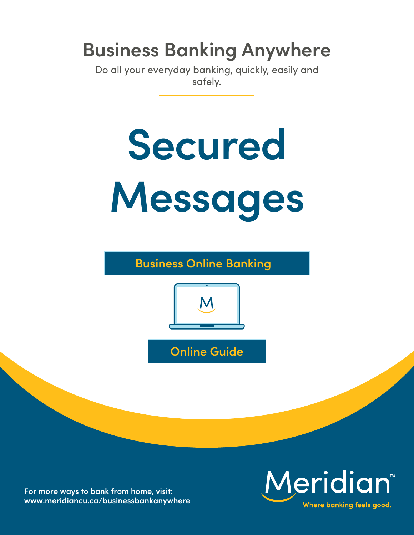## **Business Banking Anywhere**

Do all your everyday banking, quickly, easily and safely.

# **Secured Messages**

**Business Online Banking**



**Online Guide**

**For more ways to bank from home, visit: [www.meridiancu.ca/businessbankanywhere](http://www.meridiancu.ca/businessbankanywhere)**

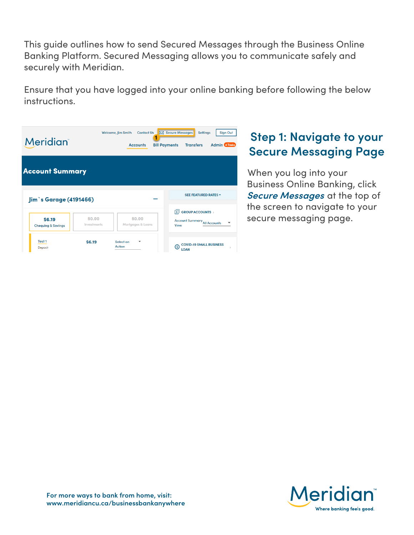This guide outlines how to send Secured Messages through the Business Online Banking Platform. Secured Messaging allows you to communicate safely and securely with Meridian.

Ensure that you have logged into your online banking before following the below instructions.

| <b>Meridian</b>                         |                       | <b>Welcome, Jim Smith</b><br><b>Contact Us</b><br><b>Accounts</b> | <b>X</b> Secure Messages<br><b>Settings</b><br><b>Bill Payments</b><br><b>Transfers</b> | <b>Sign Out</b><br><b>Admin</b> 4 Tasks |
|-----------------------------------------|-----------------------|-------------------------------------------------------------------|-----------------------------------------------------------------------------------------|-----------------------------------------|
| <b>Account Summary</b>                  |                       |                                                                   |                                                                                         |                                         |
| Jim's Garage (4191466)                  |                       |                                                                   | <b>SEE FEATURED RATES *</b>                                                             |                                         |
| \$6.19<br><b>Chequing &amp; Savings</b> | \$0.00<br>Investments | \$0.00<br>Mortgages & Loans                                       | <b>GROUP ACCOUNTS</b><br>向<br><b>Account Summary All Accounts</b><br>View               |                                         |
| Test <sub>1</sub><br>Deposit            | \$6.19                | Select an<br>▼<br><b>Action</b>                                   | <b>COVID-19 SMALL BUSINESS</b><br>ெ<br><b>LOAN</b>                                      | $\mathcal{D}$                           |

### **Step 1: Navigate to your Secure Messaging Page**

When you log into your Business Online Banking, click **Secure Messages** at the top of the screen to navigate to your secure messaging page.

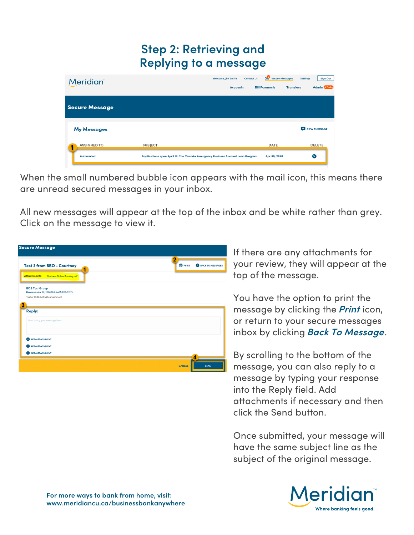#### **Step 2: Retrieving and Replying to a message**

| <b>Meridian</b>       |                                                                                | Welcome, Jim Smith<br><b>Accounts</b> | <b>Contact Us</b> | Secure Messages<br><b>Bill Payments</b> | Settings<br><b>Transfers</b> | Sign Out<br><b>Admin 4 Tosks</b> |
|-----------------------|--------------------------------------------------------------------------------|---------------------------------------|-------------------|-----------------------------------------|------------------------------|----------------------------------|
| <b>Secure Message</b> |                                                                                |                                       |                   |                                         |                              |                                  |
| <b>My Messages</b>    |                                                                                |                                       |                   |                                         |                              | <b>NEW MESSAGE</b>               |
| <b>ASSIGNED TO</b>    | <b>SUBJECT</b>                                                                 |                                       |                   | DATE                                    |                              | <b>DELETE</b>                    |
| <b>Automated</b>      | Applications open April 13: The Canada Emergency Business Account Loan Program |                                       |                   | Apr 09, 2020                            |                              | ⊗                                |

When the small numbered bubble icon appears with the mail icon, this means there are unread secured messages in your inbox.

All new messages will appear at the top of the inbox and be white rather than grey. Click on the message to view it.

| <b>Secure Message</b>                                                                                  |                                                      |
|--------------------------------------------------------------------------------------------------------|------------------------------------------------------|
| <b>Test 2 from BBO - Courtney</b><br><b>Attachments:</b><br><b>Business Online Banking.pdf</b>         | $\overline{2}$<br><b>O PRINT</b><br>BACK TO MESSAGES |
| <b>BOB Test Group</b><br>Received: Apr 07, 2020 10:05 AM (EST/EDT)<br>Test at 10:05 AM with attachment |                                                      |
| 3<br><b>Reply:</b><br>Start typing your message here                                                   |                                                      |
| <b>O</b> ADD ATTACHMENT<br><b>O</b> ADD ATTACHMENT                                                     |                                                      |
| <b>ADD ATTACHMENT</b>                                                                                  | <b>CANCEL</b><br><b>SEND</b>                         |

If there are any attachments for your review, they will appear at the top of the message.

You have the option to print the message by clicking the **Print** icon, or return to your secure messages inbox by clicking **Back To Message**.

By scrolling to the bottom of the message, you can also reply to a message by typing your response into the Reply field. Add attachments if necessary and then click the Send button.

Once submitted, your message will have the same subject line as the subject of the original message.

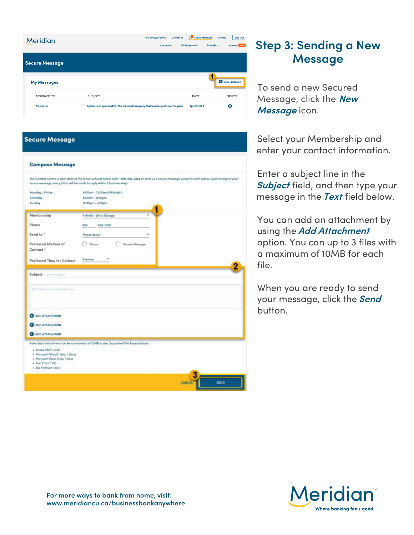| <b>Meridian</b>       | <b>Welcome, Jim Smith</b><br><b>Accounts</b>                                   | Secure Messages<br><b>Contact Us</b><br><b>Bill Payments</b> | <b>Sign Out</b><br><b>Settings</b><br><b>Admin 41</b> call<br><b>Transfers</b> |
|-----------------------|--------------------------------------------------------------------------------|--------------------------------------------------------------|--------------------------------------------------------------------------------|
| <b>Secure Message</b> |                                                                                |                                                              |                                                                                |
| <b>My Messages</b>    |                                                                                |                                                              | <b>NEW MESSAGE</b>                                                             |
| <b>ASSIGNED TO</b>    | <b>SUBJECT</b>                                                                 | DATE                                                         | <b>DELETE</b>                                                                  |
| <b>Automated</b>      | Applications open April 13: The Canada Emergency Business Account Loan Program | Apr 09, 2020                                                 | $\infty$                                                                       |

#### **Secure Message**

|                                                            | Our Contact Centre is open daily at the times outlined below. Call 1-866-592-2226 or send us a secure message using the form below. Upon receipt of your<br>secure message, every effort will be made to reply within 2 business days. |
|------------------------------------------------------------|----------------------------------------------------------------------------------------------------------------------------------------------------------------------------------------------------------------------------------------|
| Monday - Friday                                            | 8:00am - 12:00am (Midnight)                                                                                                                                                                                                            |
| Saturday                                                   | 8:00am - 8:00pm                                                                                                                                                                                                                        |
| Sunday                                                     | 12:00pm - 4:00pm                                                                                                                                                                                                                       |
| Membership                                                 | 4191466 - Jim's Goroge                                                                                                                                                                                                                 |
| Phone                                                      | 905<br>988-1000                                                                                                                                                                                                                        |
| Send to *                                                  | <b>Please Select</b>                                                                                                                                                                                                                   |
| Preferred Method of<br>Contact <sup>*</sup>                | Phone<br>Secure Message                                                                                                                                                                                                                |
| Preferred Time for Contact                                 | Anytime                                                                                                                                                                                                                                |
| Start typing your measure have                             |                                                                                                                                                                                                                                        |
| ADD ATTACHMENT                                             |                                                                                                                                                                                                                                        |
| <b>C</b> ADD ATTACHMENT                                    |                                                                                                                                                                                                                                        |
| ADD ATTACHMENT                                             |                                                                                                                                                                                                                                        |
|                                                            | Note: Each attachment can be a maximum of 10MB in size. Supported File Types Include:                                                                                                                                                  |
| · Adobe PDF (*.pdf)                                        |                                                                                                                                                                                                                                        |
| - Microsoft Ward (*.doc, *.docx)                           |                                                                                                                                                                                                                                        |
| · Microsoft Excel (*.als, *.xlsx)<br>- Text (".txt, ".rtf) |                                                                                                                                                                                                                                        |
| - Zip Archive (* zip)                                      |                                                                                                                                                                                                                                        |
|                                                            |                                                                                                                                                                                                                                        |
|                                                            |                                                                                                                                                                                                                                        |

### **Step 3: Sending a New Message**

To send a new Secured Message, click the **New Message** icon.

Select your Membership and enter your contact information.

Enter a subject line in the **Subject** field, and then type your message in the **Text** field below.

You can add an attachment by using the **Add Attachment** option. You can up to 3 files with a maximum of 10MB for each file.

When you are ready to send your message, click the **Send** button.